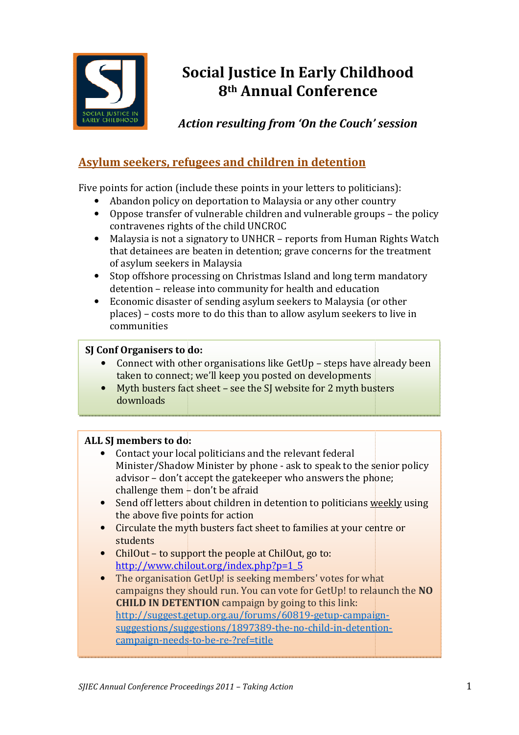

# Social Justice In Early Childhood 8th Annual Conference

Action resulting from 'On the Couch' session

## Asylum seekers, refugees and children in detention

Five points for action (include these points in your letters to politicians politicians):

- Abandon policy on deportation to Malaysia or any other country
- Abandon policy on deportation to Malaysia or any other country<br>• Oppose transfer of vulnerable children and vulnerable groups the policy contravenes rights of the child UNCROC
- Malaysia is not a signatory to UNHCR reports from Human Rights Watch that detainees are beaten in detention; grave concerns for the treatment of asylum seekers in Malaysia
- Stop offshore processing on Christmas Island and long term mandatory detention – release into community for health and education
- Economic disaster of sending asylum seekers to Malaysia (or other places) – costs more to do this than to allow asylum seekers to live in communities

### SJ Conf Organisers to do:

- Connect with other organisations like GetUp steps have already been taken to connect; we'll keep you posted on developments
- Myth busters fact sheet see the SJ website for 2 myth busters downloads

## ALL SJ members to do:

- Contact your local politicians and the relevant federal Minister/Shadow Minister by phone - ask to speak to the senior policy advisor – don't accept the gatekeeper who answers the phone; challenge them - don't be afraid a (or other<br>vers to live in<br>we already been<br>nts<br>busters<br>he senior policy<br>phone;<br>ns <u>weekly</u> using
- Send off letters about children in detention to politicians weekly the above five points for action
- Circulate the myth busters fact sheet to families at your centre or students
- ChilOut to support the people at ChilOut, go to: http://www.chilout.org/index.php?p=1\_5 http://www.chilout.org/index.php?p=1\_5
- The organisation GetUp! is seeking members' votes for what campaigns they should run. You can vote for GetUp! to relaunch the NO **CHILD IN DETENTION** campaign by going to this link: http://suggest.getup.org.au/forums/60819 http://suggest.getup.org.au/forums/60819-getup-campaign campaignsuggestions/suggestions/1897389-the-no-child-in-detentioncampaign-needs-to-be-re-?ref=title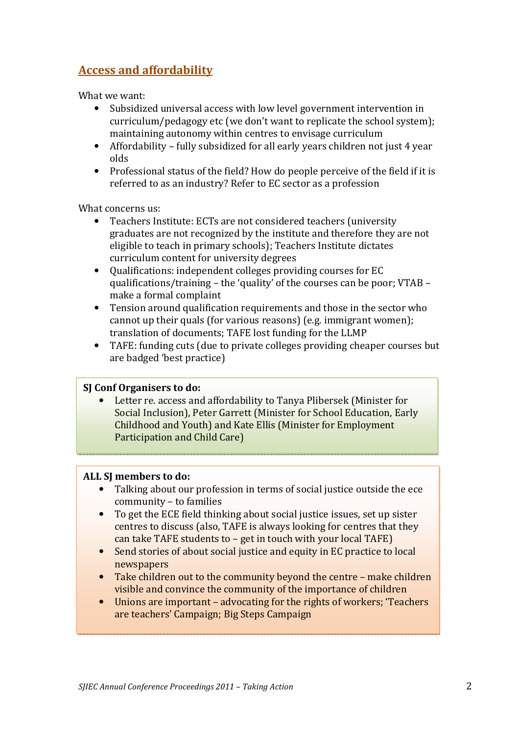## Access and affordability

What we want:

- Subsidized universal access with low level government intervention in curriculum/pedagogy etc (we don't want to replicate the school system); maintaining autonomy within centres to envisage curriculum
- Affordability fully subsidized for all early years children not just 4 year olds
- Professional status of the field? How do people perceive of the field if it is referred to as an industry? Refer to EC sector as a profession

What concerns us:

- Teachers Institute: ECTs are not considered teachers (university graduates are not recognized by the institute and therefore they are not eligible to teach in primary schools); Teachers Institute dictates curriculum content for university degrees
- Qualifications: independent colleges providing courses for EC qualifications/training – the 'quality' of the courses can be poor; VTAB – make a formal complaint
- Tension around qualification requirements and those in the sector who cannot up their quals (for various reasons) (e.g. immigrant women); translation of documents; TAFE lost funding for the LLMP
- TAFE: funding cuts (due to private colleges providing cheaper courses but are badged 'best practice)

#### SJ Conf Organisers to do:

• Letter re. access and affordability to Tanya Plibersek (Minister for Social Inclusion), Peter Garrett (Minister for School Education, Early Childhood and Youth) and Kate Ellis (Minister for Employment Participation and Child Care)

#### ALL SJ members to do:

- Talking about our profession in terms of social justice outside the ece community – to families
- To get the ECE field thinking about social justice issues, set up sister centres to discuss (also, TAFE is always looking for centres that they can take TAFE students to – get in touch with your local TAFE)
- Send stories of about social justice and equity in EC practice to local newspapers
- Take children out to the community beyond the centre make children visible and convince the community of the importance of children
- Unions are important advocating for the rights of workers; 'Teachers are teachers' Campaign; Big Steps Campaign